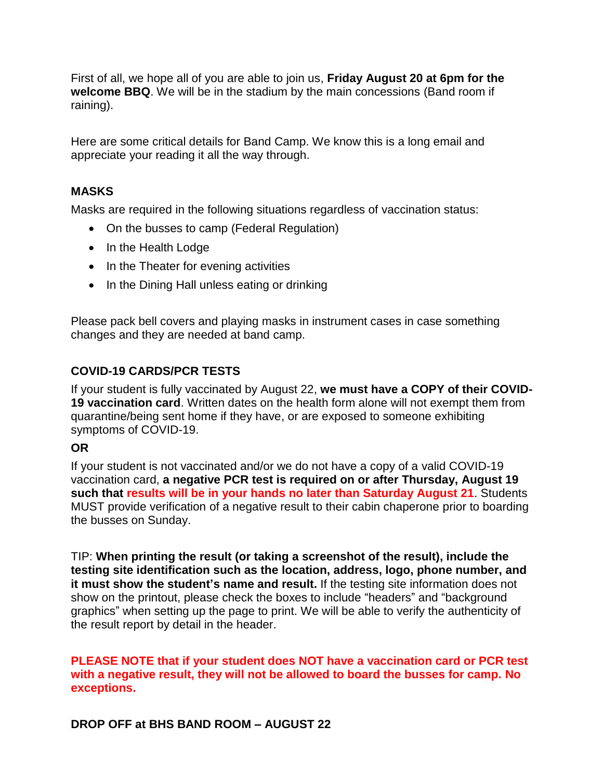First of all, we hope all of you are able to join us, **Friday August 20 at 6pm for the welcome BBQ**. We will be in the stadium by the main concessions (Band room if raining).

Here are some critical details for Band Camp. We know this is a long email and appreciate your reading it all the way through.

### **MASKS**

Masks are required in the following situations regardless of vaccination status:

- On the busses to camp (Federal Regulation)
- In the Health Lodge
- In the Theater for evening activities
- In the Dining Hall unless eating or drinking

Please pack bell covers and playing masks in instrument cases in case something changes and they are needed at band camp.

# **COVID-19 CARDS/PCR TESTS**

If your student is fully vaccinated by August 22, **we must have a COPY of their COVID-19 vaccination card**. Written dates on the health form alone will not exempt them from quarantine/being sent home if they have, or are exposed to someone exhibiting symptoms of COVID-19.

#### **OR**

If your student is not vaccinated and/or we do not have a copy of a valid COVID-19 vaccination card, **a negative PCR test is required on or after Thursday, August 19 such that results will be in your hands no later than Saturday August 21**. Students MUST provide verification of a negative result to their cabin chaperone prior to boarding the busses on Sunday.

TIP: **When printing the result (or taking a screenshot of the result), include the testing site identification such as the location, address, logo, phone number, and it must show the student's name and result.** If the testing site information does not show on the printout, please check the boxes to include "headers" and "background graphics" when setting up the page to print. We will be able to verify the authenticity of the result report by detail in the header.

**PLEASE NOTE that if your student does NOT have a vaccination card or PCR test with a negative result, they will not be allowed to board the busses for camp. No exceptions.** 

**DROP OFF at BHS BAND ROOM – AUGUST 22**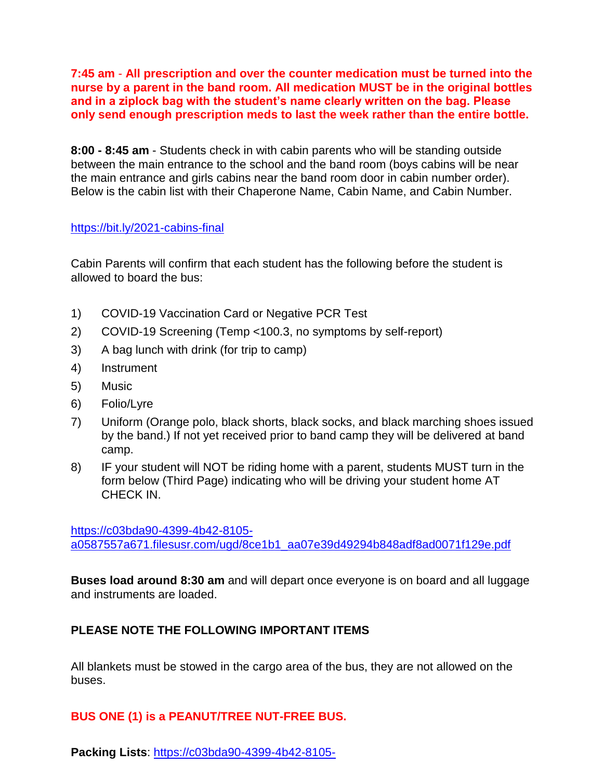**7:45 am** - **All prescription and over the counter medication must be turned into the nurse by a parent in the band room. All medication MUST be in the original bottles and in a ziplock bag with the student's name clearly written on the bag. Please only send enough prescription meds to last the week rather than the entire bottle.**

**8:00 - 8:45 am** - Students check in with cabin parents who will be standing outside between the main entrance to the school and the band room (boys cabins will be near the main entrance and girls cabins near the band room door in cabin number order). Below is the cabin list with their Chaperone Name, Cabin Name, and Cabin Number.

### <https://bit.ly/2021-cabins-final>

Cabin Parents will confirm that each student has the following before the student is allowed to board the bus:

- 1) COVID-19 Vaccination Card or Negative PCR Test
- 2) COVID-19 Screening (Temp <100.3, no symptoms by self-report)
- 3) A bag lunch with drink (for trip to camp)
- 4) Instrument
- 5) Music
- 6) Folio/Lyre
- 7) Uniform (Orange polo, black shorts, black socks, and black marching shoes issued by the band.) If not yet received prior to band camp they will be delivered at band camp.
- 8) IF your student will NOT be riding home with a parent, students MUST turn in the form below (Third Page) indicating who will be driving your student home AT CHECK IN.

[https://c03bda90-4399-4b42-8105](https://c03bda90-4399-4b42-8105-a0587557a671.filesusr.com/ugd/8ce1b1_aa07e39d49294b848adf8ad0071f129e.pdf) [a0587557a671.filesusr.com/ugd/8ce1b1\\_aa07e39d49294b848adf8ad0071f129e.pdf](https://c03bda90-4399-4b42-8105-a0587557a671.filesusr.com/ugd/8ce1b1_aa07e39d49294b848adf8ad0071f129e.pdf)

**Buses load around 8:30 am** and will depart once everyone is on board and all luggage and instruments are loaded.

# **PLEASE NOTE THE FOLLOWING IMPORTANT ITEMS**

All blankets must be stowed in the cargo area of the bus, they are not allowed on the buses.

# **BUS ONE (1) is a PEANUT/TREE NUT-FREE BUS.**

**Packing Lists**: [https://c03bda90-4399-4b42-8105-](https://c03bda90-4399-4b42-8105-a0587557a671.filesusr.com/ugd/8ce1b1_7a711458e175483cbd0d9e0df83758fc.pdf)